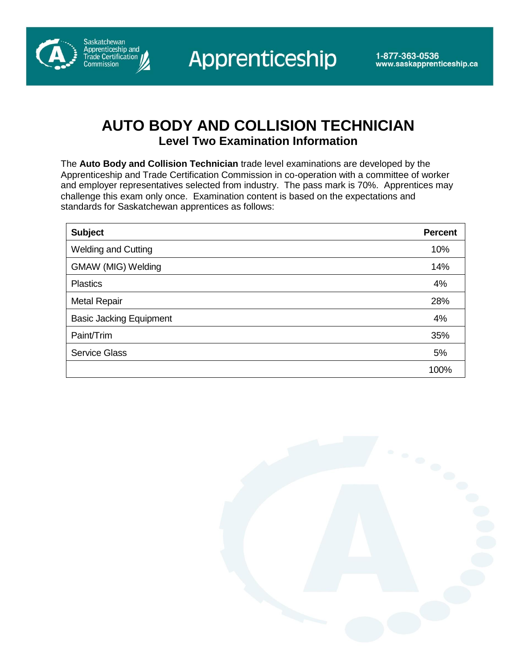Saskatchewan<br>Apprenticeship and<br>Trade Certification

**Commission** 

## **AUTO BODY AND COLLISION TECHNICIAN Level Two Examination Information**

The **Auto Body and Collision Technician** trade level examinations are developed by the Apprenticeship and Trade Certification Commission in co-operation with a committee of worker and employer representatives selected from industry. The pass mark is 70%. Apprentices may challenge this exam only once. Examination content is based on the expectations and standards for Saskatchewan apprentices as follows:

| <b>Subject</b>                 | <b>Percent</b> |
|--------------------------------|----------------|
| <b>Welding and Cutting</b>     | 10%            |
| GMAW (MIG) Welding             | 14%            |
| <b>Plastics</b>                | 4%             |
| <b>Metal Repair</b>            | 28%            |
| <b>Basic Jacking Equipment</b> | 4%             |
| Paint/Trim                     | 35%            |
| <b>Service Glass</b>           | 5%             |
|                                | 100%           |